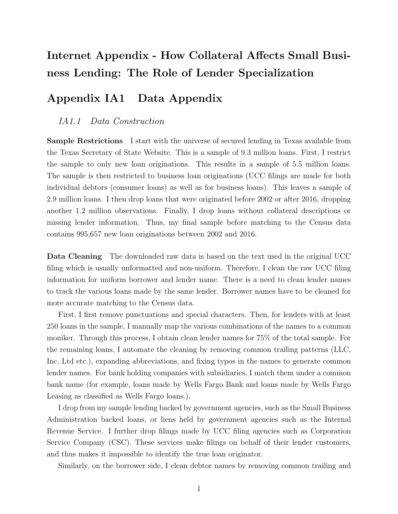# Internet Appendix - How Collateral Affects Small Business Lending: The Role of Lender Specialization

# Appendix IA1 Data Appendix

### IA1.1 Data Construction

Sample Restrictions I start with the universe of secured lending in Texas available from the Texas Secretary of State Website. This is a sample of 9.3 million loans. First, I restrict the sample to only new loan originations. This results in a sample of 5.5 million loans. The sample is then restricted to business loan originations (UCC filings are made for both individual debtors (consumer loans) as well as for business loans). This leaves a sample of 2.9 million loans. I then drop loans that were originated before 2002 or after 2016, dropping another 1.2 million observations. Finally, I drop loans without collateral descriptions or missing lender information. Thus, my final sample before matching to the Census data contains 995,657 new loan originations between 2002 and 2016.

Data Cleaning The downloaded raw data is based on the text used in the original UCC filing which is usually unformatted and non-uniform. Therefore, I clean the raw UCC filing information for uniform borrower and lender name. There is a need to clean lender names to track the various loans made by the same lender. Borrower names have to be cleaned for more accurate matching to the Census data.

First, I first remove punctuations and special characters. Then, for lenders with at least 250 loans in the sample, I manually map the various combinations of the names to a common moniker. Through this process, I obtain clean lender names for 75% of the total sample. For the remaining loans, I automate the cleaning by removing common trailing patterns (LLC, Inc, Ltd etc.), expanding abbreviations, and fixing typos in the names to generate common lender names. For bank holding companies with subsidiaries, I match them under a common bank name (for example, loans made by Wells Fargo Bank and loans made by Wells Fargo Leasing as classified as Wells Fargo loans.).

I drop from my sample lending backed by government agencies, such as the Small Business Administration backed loans, or liens held by government agencies such as the Internal Revenue Service. I further drop filings made by UCC filing agencies such as Corporation Service Company (CSC). These services make filings on behalf of their lender customers, and thus makes it impossible to identify the true loan originator.

Similarly, on the borrower side, I clean debtor names by removing common trailing and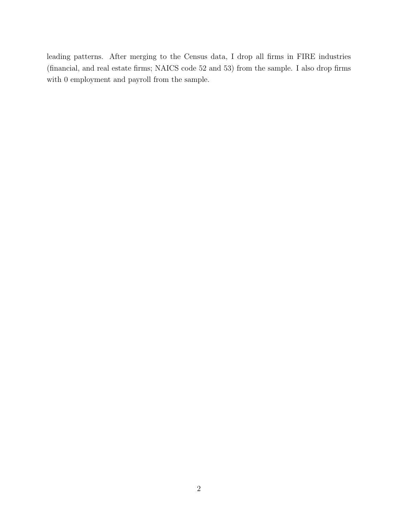leading patterns. After merging to the Census data, I drop all firms in FIRE industries (financial, and real estate firms; NAICS code 52 and 53) from the sample. I also drop firms with 0 employment and payroll from the sample.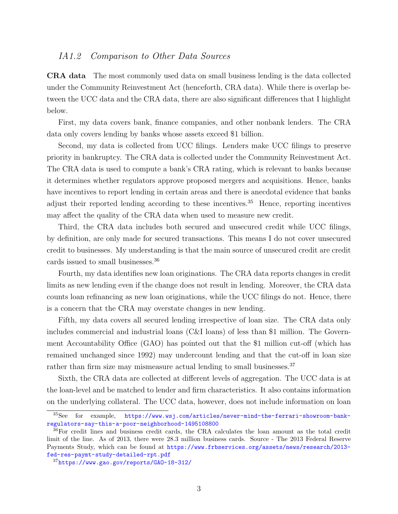### IA1.2 Comparison to Other Data Sources

CRA data The most commonly used data on small business lending is the data collected under the Community Reinvestment Act (henceforth, CRA data). While there is overlap between the UCC data and the CRA data, there are also significant differences that I highlight below.

First, my data covers bank, finance companies, and other nonbank lenders. The CRA data only covers lending by banks whose assets exceed \$1 billion.

Second, my data is collected from UCC filings. Lenders make UCC filings to preserve priority in bankruptcy. The CRA data is collected under the Community Reinvestment Act. The CRA data is used to compute a bank's CRA rating, which is relevant to banks because it determines whether regulators approve proposed mergers and acquisitions. Hence, banks have incentives to report lending in certain areas and there is anecdotal evidence that banks adjust their reported lending according to these incentives.<sup>35</sup> Hence, reporting incentives may affect the quality of the CRA data when used to measure new credit.

Third, the CRA data includes both secured and unsecured credit while UCC filings, by definition, are only made for secured transactions. This means I do not cover unsecured credit to businesses. My understanding is that the main source of unsecured credit are credit cards issued to small businesses.<sup>36</sup>

Fourth, my data identifies new loan originations. The CRA data reports changes in credit limits as new lending even if the change does not result in lending. Moreover, the CRA data counts loan refinancing as new loan originations, while the UCC filings do not. Hence, there is a concern that the CRA may overstate changes in new lending.

Fifth, my data covers all secured lending irrespective of loan size. The CRA data only includes commercial and industrial loans (C&I loans) of less than \$1 million. The Government Accountability Office (GAO) has pointed out that the \$1 million cut-off (which has remained unchanged since 1992) may undercount lending and that the cut-off in loan size rather than firm size may mismeasure actual lending to small businesses.<sup>37</sup>

Sixth, the CRA data are collected at different levels of aggregation. The UCC data is at the loan-level and be matched to lender and firm characteristics. It also contains information on the underlying collateral. The UCC data, however, does not include information on loan

<sup>35</sup>See for example, [https://www.wsj.com/articles/never-mind-the-ferrari-showroom-bank](https://www.wsj.com/articles/never-mind-the-ferrari-showroom-bank-regulators-say-this-a-poor-neighborhood-1495108800)[regulators-say-this-a-poor-neighborhood-1495108800](https://www.wsj.com/articles/never-mind-the-ferrari-showroom-bank-regulators-say-this-a-poor-neighborhood-1495108800)

<sup>36</sup>For credit lines and business credit cards, the CRA calculates the loan amount as the total credit limit of the line. As of 2013, there were 28.3 million business cards. Source - The 2013 Federal Reserve Payments Study, which can be found at [https://www.frbservices.org/assets/news/research/2013](https://www.frbservices.org/assets/news/research/2013-fed-res-paymt-study-detailed-rpt.pdf) [fed-res-paymt-study-detailed-rpt.pdf](https://www.frbservices.org/assets/news/research/2013-fed-res-paymt-study-detailed-rpt.pdf)

<sup>37</sup><https://www.gao.gov/reports/GAO-18-312/>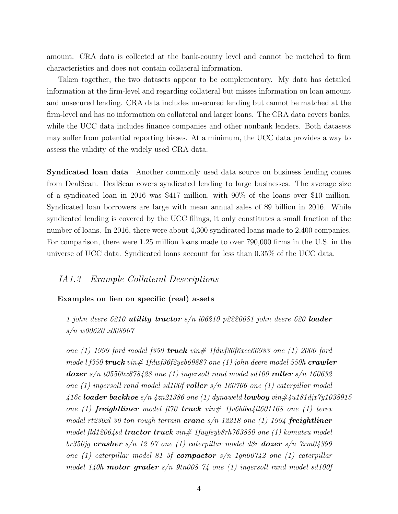amount. CRA data is collected at the bank-county level and cannot be matched to firm characteristics and does not contain collateral information.

Taken together, the two datasets appear to be complementary. My data has detailed information at the firm-level and regarding collateral but misses information on loan amount and unsecured lending. CRA data includes unsecured lending but cannot be matched at the firm-level and has no information on collateral and larger loans. The CRA data covers banks, while the UCC data includes finance companies and other nonbank lenders. Both datasets may suffer from potential reporting biases. At a minimum, the UCC data provides a way to assess the validity of the widely used CRA data.

Syndicated loan data Another commonly used data source on business lending comes from DealScan. DealScan covers syndicated lending to large businesses. The average size of a syndicated loan in 2016 was \$417 million, with 90% of the loans over \$10 million. Syndicated loan borrowers are large with mean annual sales of \$9 billion in 2016. While syndicated lending is covered by the UCC filings, it only constitutes a small fraction of the number of loans. In 2016, there were about 4,300 syndicated loans made to 2,400 companies. For comparison, there were 1.25 million loans made to over 790,000 firms in the U.S. in the universe of UCC data. Syndicated loans account for less than 0.35% of the UCC data.

### IA1.3 Example Collateral Descriptions

#### Examples on lien on specific (real) assets

1 john deere 6210 utility tractor  $s/n$  106210 p2220681 john deere 620 loader s/n w00620 x008907

one (1) 1999 ford model f350 **truck** vin# 1fdwf36f6xee66983 one (1) 2000 ford mode l f350  $true$ k vin $\#$  1fdwf36f2yeb69887 one (1) john deere model 550h  $crawler$ **dozer** s/n t0550hx878428 one (1) ingersoll rand model sd100 **roller** s/n 160632 one (1) ingersoll rand model sd100f **roller** s/n 160766 one (1) caterpillar model 416c loader backhoe s/n 4zn21386 one (1) dynaweld lowboy vin $\#$ 4u181djx7y1038915 one (1) **freightliner** model fl70 **truck** vin# 1fv6hlba4tl601168 one (1) terex model rt230xl 30 ton rough terrain **crane**  $s/n$  12218 one (1) 1994 **freightliner** model fld12064sd **tractor truck** vin# 1fuyfsyb8rh763880 one (1) komatsu model br350jg crusher s/n 12 67 one (1) caterpillar model d8r **dozer** s/n  $\gamma$ xm04399 one (1) caterpillar model 81 5f compactor  $s/n$  1gn00742 one (1) caterpillar model 140h **motor grader**  $s/n$  9tn008 74 one (1) ingersoll rand model sd100f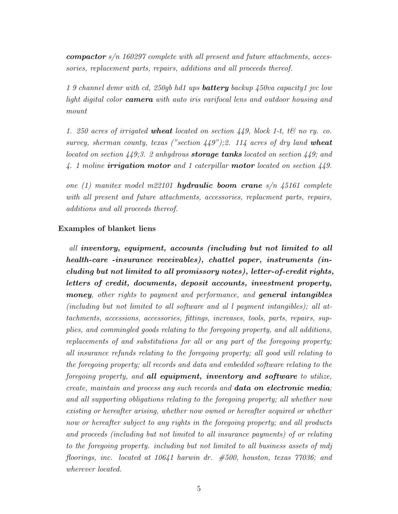**compactor**  $s/n$  160297 complete with all present and future attachments, accessories, replacement parts, repairs, additions and all proceeds thereof.

1 9 channel dvmr with cd, 250gb hd1 ups **battery** backup  $450$ va capacity1 jvc low light digital color **camera** with auto iris varifocal lens and outdoor housing and mount

1. 250 acres of irrigated **wheat** located on section  $449$ , block 1-t, t& no ry. co. survey, sherman county, texas ("section  $449$ ");2. 114 acres of dry land **wheat** located on section  $449.3$ . 2 anhydrous **storage tanks** located on section  $449$ ; and 4. 1 moline **irrigation motor** and 1 caterpillar **motor** located on section  $449$ .

one (1) manitex model m22101 **hydraulic boom crane**  $s/n$  45161 complete with all present and future attachments, accessories, replacment parts, repairs, additions and all proceeds thereof.

### Examples of blanket liens

all inventory, equipment, accounts (including but not limited to all health-care -insurance receivables), chattel paper, instruments (including but not limited to all promissory notes), letter-of-credit rights, letters of credit, documents, deposit accounts, investment property, money, other rights to payment and performance, and general intangibles (including but not limited to all software and al l payment intangibles); all attachments, accessions, accessories, fittings, increases, tools, parts, repairs, supplies, and commingled goods relating to the foregoing property, and all additions, replacements of and substitutions for all or any part of the foregoing property; all insurance refunds relating to the foregoing property; all good will relating to the foregoing property; all records and data and embedded software relating to the foregoing property, and all equipment, inventory and software to utilize, create, maintain and process any such records and **data on electronic media**; and all supporting obligations relating to the foregoing property; all whether now existing or hereafter arising, whether now owned or hereafter acquired or whether now or hereafter subject to any rights in the foregoing property; and all products and proceeds (including but not limited to all insurance payments) of or relating to the foregoing property. including but not limited to all business assets of mdj floorings, inc. located at 10641 harwin dr. #500, houston, texas 77036; and wherever located.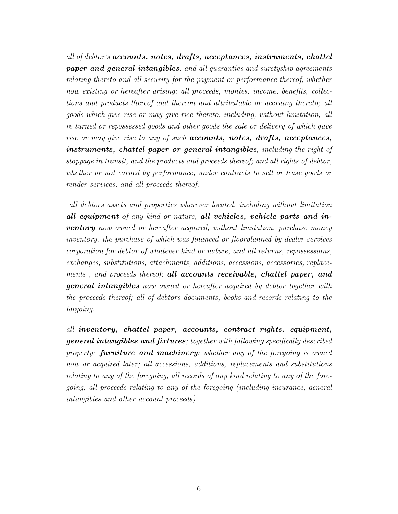all of debtor's accounts, notes, drafts, acceptances, instruments, chattel paper and general intangibles, and all guaranties and suretyship agreements relating thereto and all security for the payment or performance thereof, whether now existing or hereafter arising; all proceeds, monies, income, benefits, collections and products thereof and thereon and attributable or accruing thereto; all goods which give rise or may give rise thereto, including, without limitation, all re turned or repossessed goods and other goods the sale or delivery of which gave rise or may give rise to any of such **accounts, notes, drafts, acceptances,** instruments, chattel paper or general intangibles, including the right of stoppage in transit, and the products and proceeds thereof; and all rights of debtor, whether or not earned by performance, under contracts to sell or lease goods or render services, and all proceeds thereof.

all debtors assets and properties wherever located, including without limitation all equipment of any kind or nature, all vehicles, vehicle parts and in**ventory** now owned or hereafter acquired, without limitation, purchase money inventory, the purchase of which was financed or floorplanned by dealer services corporation for debtor of whatever kind or nature, and all returns, repossessions, exchanges, substitutions, attachments, additions, accessions, accessories, replacements, and proceeds thereof; all accounts receivable, chattel paper, and general intangibles now owned or hereafter acquired by debtor together with the proceeds thereof; all of debtors documents, books and records relating to the forgoing.

all inventory, chattel paper, accounts, contract rights, equipment, general intangibles and fixtures; together with following specifically described property: **furniture and machinery**; whether any of the foregoing is owned now or acquired later; all accessions, additions, replacements and substitutions relating to any of the foregoing; all records of any kind relating to any of the foregoing; all proceeds relating to any of the foregoing (including insurance, general intangibles and other account proceeds)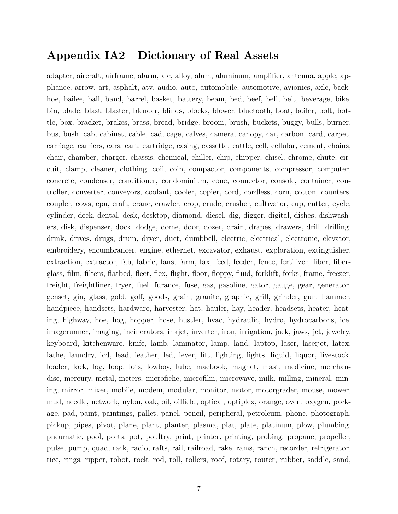# Appendix IA2 Dictionary of Real Assets

adapter, aircraft, airframe, alarm, ale, alloy, alum, aluminum, amplifier, antenna, apple, appliance, arrow, art, asphalt, atv, audio, auto, automobile, automotive, avionics, axle, backhoe, bailee, ball, band, barrel, basket, battery, beam, bed, beef, bell, belt, beverage, bike, bin, blade, blast, blaster, blender, blinds, blocks, blower, bluetooth, boat, boiler, bolt, bottle, box, bracket, brakes, brass, bread, bridge, broom, brush, buckets, buggy, bulls, burner, bus, bush, cab, cabinet, cable, cad, cage, calves, camera, canopy, car, carbon, card, carpet, carriage, carriers, cars, cart, cartridge, casing, cassette, cattle, cell, cellular, cement, chains, chair, chamber, charger, chassis, chemical, chiller, chip, chipper, chisel, chrome, chute, circuit, clamp, cleaner, clothing, coil, coin, compactor, components, compressor, computer, concrete, condenser, conditioner, condominium, cone, connector, console, container, controller, converter, conveyors, coolant, cooler, copier, cord, cordless, corn, cotton, counters, coupler, cows, cpu, craft, crane, crawler, crop, crude, crusher, cultivator, cup, cutter, cycle, cylinder, deck, dental, desk, desktop, diamond, diesel, dig, digger, digital, dishes, dishwashers, disk, dispenser, dock, dodge, dome, door, dozer, drain, drapes, drawers, drill, drilling, drink, drives, drugs, drum, dryer, duct, dumbbell, electric, electrical, electronic, elevator, embroidery, encumbrancer, engine, ethernet, excavator, exhaust, exploration, extinguisher, extraction, extractor, fab, fabric, fans, farm, fax, feed, feeder, fence, fertilizer, fiber, fiberglass, film, filters, flatbed, fleet, flex, flight, floor, floppy, fluid, forklift, forks, frame, freezer, freight, freightliner, fryer, fuel, furance, fuse, gas, gasoline, gator, gauge, gear, generator, genset, gin, glass, gold, golf, goods, grain, granite, graphic, grill, grinder, gun, hammer, handpiece, handsets, hardware, harvester, hat, hauler, hay, header, headsets, heater, heating, highway, hoe, hog, hopper, hose, hustler, hvac, hydraulic, hydro, hydrocarbons, ice, imagerunner, imaging, incinerators, inkjet, inverter, iron, irrigation, jack, jaws, jet, jewelry, keyboard, kitchenware, knife, lamb, laminator, lamp, land, laptop, laser, laserjet, latex, lathe, laundry, lcd, lead, leather, led, lever, lift, lighting, lights, liquid, liquor, livestock, loader, lock, log, loop, lots, lowboy, lube, macbook, magnet, mast, medicine, merchandise, mercury, metal, meters, microfiche, microfilm, microwave, milk, milling, mineral, mining, mirror, mixer, mobile, modem, modular, monitor, motor, motorgrader, mouse, mower, mud, needle, network, nylon, oak, oil, oilfield, optical, optiplex, orange, oven, oxygen, package, pad, paint, paintings, pallet, panel, pencil, peripheral, petroleum, phone, photograph, pickup, pipes, pivot, plane, plant, planter, plasma, plat, plate, platinum, plow, plumbing, pneumatic, pool, ports, pot, poultry, print, printer, printing, probing, propane, propeller, pulse, pump, quad, rack, radio, rafts, rail, railroad, rake, rams, ranch, recorder, refrigerator, rice, rings, ripper, robot, rock, rod, roll, rollers, roof, rotary, router, rubber, saddle, sand,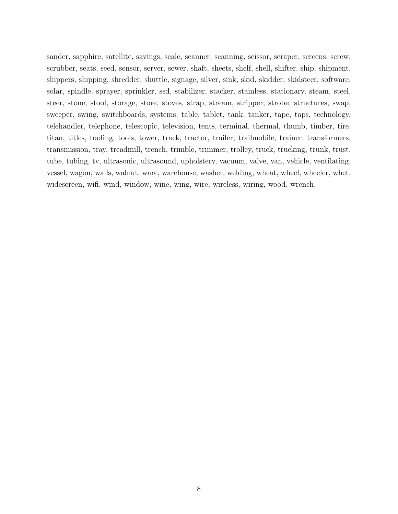sander, sapphire, satellite, savings, scale, scanner, scanning, scissor, scraper, screens, screw, scrubber, seats, seed, sensor, server, sewer, shaft, sheets, shelf, shell, shifter, ship, shipment, shippers, shipping, shredder, shuttle, signage, silver, sink, skid, skidder, skidsteer, software, solar, spindle, sprayer, sprinkler, ssd, stabilizer, stacker, stainless, stationary, steam, steel, steer, stone, stool, storage, store, stoves, strap, stream, stripper, strobe, structures, swap, sweeper, swing, switchboards, systems, table, tablet, tank, tanker, tape, taps, technology, telehandler, telephone, telescopic, television, tents, terminal, thermal, thumb, timber, tire, titan, titles, tooling, tools, tower, track, tractor, trailer, trailmobile, trainer, transformers, transmission, tray, treadmill, trench, trimble, trimmer, trolley, truck, trucking, trunk, trust, tube, tubing, tv, ultrasonic, ultrasound, upholstery, vacuum, valve, van, vehicle, ventilating, vessel, wagon, walls, walnut, ware, warehouse, washer, welding, wheat, wheel, wheeler, whet, widescreen, wifi, wind, window, wine, wing, wire, wireless, wiring, wood, wrench,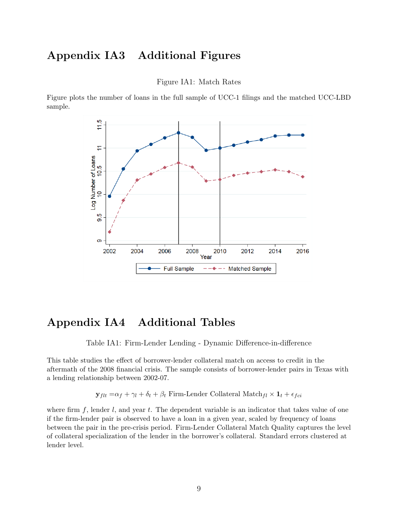## Appendix IA3 Additional Figures

Figure IA1: Match Rates

Figure plots the number of loans in the full sample of UCC-1 filings and the matched UCC-LBD sample.



### Appendix IA4 Additional Tables

Table IA1: Firm-Lender Lending - Dynamic Difference-in-difference

This table studies the effect of borrower-lender collateral match on access to credit in the aftermath of the 2008 financial crisis. The sample consists of borrower-lender pairs in Texas with a lending relationship between 2002-07.

 $\mathbf{y}_{flt} = \alpha_f + \gamma_l + \delta_t + \beta_t$ Firm-Lender Collateral $\text{Match}_{fl} \times \mathbf{1}_t + \epsilon_{fci}$ 

where firm  $f$ , lender  $l$ , and year  $t$ . The dependent variable is an indicator that takes value of one if the firm-lender pair is observed to have a loan in a given year, scaled by frequency of loans between the pair in the pre-crisis period. Firm-Lender Collateral Match Quality captures the level of collateral specialization of the lender in the borrower's collateral. Standard errors clustered at lender level.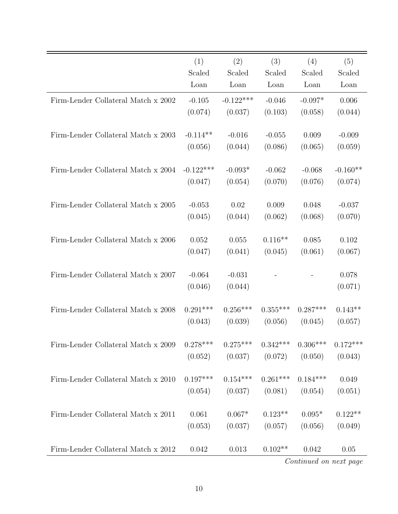|                                     | (1)         | (2)         | (3)        | (4)        | (5)        |
|-------------------------------------|-------------|-------------|------------|------------|------------|
|                                     | Scaled      | Scaled      | Scaled     | Scaled     | Scaled     |
|                                     | Loan        | Loan        | Loan       | Loan       | Loan       |
| Firm-Lender Collateral Match x 2002 | $-0.105$    | $-0.122***$ | $-0.046$   | $-0.097*$  | 0.006      |
|                                     | (0.074)     | (0.037)     | (0.103)    | (0.058)    | (0.044)    |
|                                     |             |             |            |            |            |
| Firm-Lender Collateral Match x 2003 | $-0.114**$  | $-0.016$    | $-0.055$   | 0.009      | $-0.009$   |
|                                     | (0.056)     | (0.044)     | (0.086)    | (0.065)    | (0.059)    |
| Firm-Lender Collateral Match x 2004 | $-0.122***$ | $-0.093*$   | $-0.062$   | $-0.068$   | $-0.160**$ |
|                                     | (0.047)     | (0.054)     | (0.070)    | (0.076)    | (0.074)    |
|                                     |             |             |            |            |            |
| Firm-Lender Collateral Match x 2005 | $-0.053$    | 0.02        | 0.009      | 0.048      | $-0.037$   |
|                                     | (0.045)     | (0.044)     | (0.062)    | (0.068)    | (0.070)    |
| Firm-Lender Collateral Match x 2006 | 0.052       | 0.055       | $0.116**$  | 0.085      | 0.102      |
|                                     | (0.047)     | (0.041)     | (0.045)    | (0.061)    | (0.067)    |
|                                     |             |             |            |            |            |
| Firm-Lender Collateral Match x 2007 | $-0.064$    | $-0.031$    |            |            | 0.078      |
|                                     | (0.046)     | (0.044)     |            |            | (0.071)    |
|                                     |             |             |            |            |            |
| Firm-Lender Collateral Match x 2008 | $0.291***$  | $0.256***$  | $0.355***$ | $0.287***$ | $0.143**$  |
|                                     | (0.043)     | (0.039)     | (0.056)    | (0.045)    | (0.057)    |
| Firm-Lender Collateral Match x 2009 | $0.278***$  | $0.275***$  | $0.342***$ | $0.306***$ | $0.172***$ |
|                                     | (0.052)     | (0.037)     | (0.072)    | (0.050)    | (0.043)    |
|                                     |             |             |            |            |            |
| Firm-Lender Collateral Match x 2010 | $0.197***$  | $0.154***$  | $0.261***$ | $0.184***$ | 0.049      |
|                                     | (0.054)     | (0.037)     | (0.081)    | (0.054)    | (0.051)    |
|                                     |             |             |            |            |            |
| Firm-Lender Collateral Match x 2011 | 0.061       | $0.067*$    | $0.123**$  | $0.095*$   | $0.122**$  |
|                                     | (0.053)     | (0.037)     | (0.057)    | (0.056)    | (0.049)    |
| Firm-Lender Collateral Match x 2012 | 0.042       | 0.013       | $0.102**$  | 0.042      | 0.05       |
|                                     |             |             |            |            |            |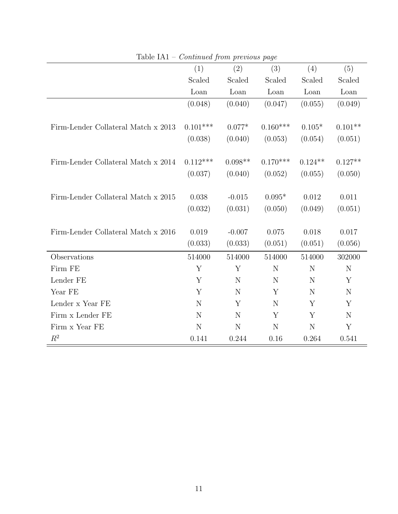|                                     | (1)         | (2)       | (3)         | (4)       | (5)         |
|-------------------------------------|-------------|-----------|-------------|-----------|-------------|
|                                     | Scaled      | Scaled    | Scaled      | Scaled    | Scaled      |
|                                     | Loan        | Loan      | Loan        | Loan      | Loan        |
|                                     | (0.048)     | (0.040)   | (0.047)     | (0.055)   | (0.049)     |
| Firm-Lender Collateral Match x 2013 | $0.101***$  | $0.077*$  | $0.160***$  | $0.105*$  | $0.101**$   |
|                                     | (0.038)     | (0.040)   | (0.053)     | (0.054)   | (0.051)     |
|                                     |             |           |             |           |             |
| Firm-Lender Collateral Match x 2014 | $0.112***$  | $0.098**$ | $0.170***$  | $0.124**$ | $0.127**$   |
|                                     | (0.037)     | (0.040)   | (0.052)     | (0.055)   | (0.050)     |
|                                     |             |           |             |           |             |
| Firm-Lender Collateral Match x 2015 | 0.038       | $-0.015$  | $0.095*$    | 0.012     | 0.011       |
|                                     | (0.032)     | (0.031)   | (0.050)     | (0.049)   | (0.051)     |
|                                     |             |           |             |           |             |
| Firm-Lender Collateral Match x 2016 | 0.019       | $-0.007$  | 0.075       | 0.018     | 0.017       |
|                                     | (0.033)     | (0.033)   | (0.051)     | (0.051)   | (0.056)     |
| Observations                        | 514000      | 514000    | 514000      | 514000    | 302000      |
| Firm FE                             | Y           | Y         | N           | N         | $\mathbf N$ |
| Lender FE                           | Y           | N         | N           | N         | Y           |
| Year FE                             | Y           | N         | Y           | N         | $\mathbf N$ |
| Lender x Year FE                    | $\mathbf N$ | Y         | N           | Y         | Y           |
| Firm x Lender FE                    | $\mathbf N$ | N         | Y           | Y         | $\mathbf N$ |
| Firm x Year FE                      | $\mathbf N$ | N         | $\mathbf N$ | N         | Y           |
| $R^2$                               | 0.141       | 0.244     | 0.16        | 0.264     | 0.541       |

Table IA1 – Continued from previous page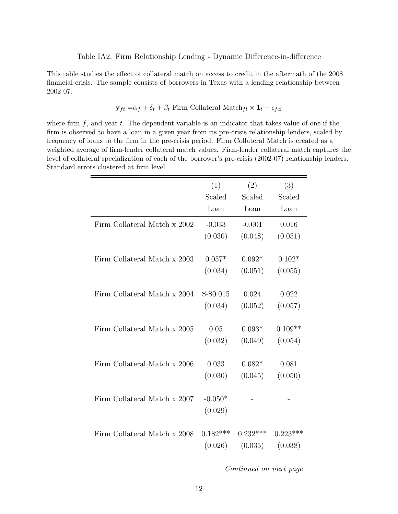This table studies the effect of collateral match on access to credit in the aftermath of the 2008 financial crisis. The sample consists of borrowers in Texas with a lending relationship between 2002-07.

$$
\mathbf{y}_{ft} = \alpha_f + \delta_t + \beta_t
$$
 Firm Collateral Match<sub>fl</sub> ×  $\mathbf{1}_t + \epsilon_{fci}$ 

where firm  $f$ , and year  $t$ . The dependent variable is an indicator that takes value of one if the firm is observed to have a loan in a given year from its pre-crisis relationship lenders, scaled by frequency of loans to the firm in the pre-crisis period. Firm Collateral Match is created as a weighted average of firm-lender collateral match values. Firm-lender collateral match captures the level of collateral specialization of each of the borrower's pre-crisis (2002-07) relationship lenders. Standard errors clustered at firm level.

|                              | (1)        | (2)        | (3)        |
|------------------------------|------------|------------|------------|
|                              | Scaled     | Scaled     | Scaled     |
|                              | Loan       | Loan       | Loan       |
| Firm Collateral Match x 2002 | $-0.033$   | $-0.001$   | 0.016      |
|                              | (0.030)    | (0.048)    | (0.051)    |
|                              |            |            |            |
| Firm Collateral Match x 2003 | $0.057*$   | $0.092*$   | $0.102*$   |
|                              | (0.034)    | (0.051)    | (0.055)    |
|                              |            |            |            |
| Firm Collateral Match x 2004 | $$-$0.015$ | 0.024      | 0.022      |
|                              | (0.034)    | (0.052)    | (0.057)    |
| Firm Collateral Match x 2005 | 0.05       | $0.093*$   | $0.109**$  |
|                              | (0.032)    | (0.049)    | (0.054)    |
|                              |            |            |            |
| Firm Collateral Match x 2006 | 0.033      | $0.082*$   | 0.081      |
|                              | (0.030)    | (0.045)    | (0.050)    |
|                              |            |            |            |
| Firm Collateral Match x 2007 | $-0.050*$  |            |            |
|                              | (0.029)    |            |            |
|                              |            |            |            |
| Firm Collateral Match x 2008 | $0.182***$ | $0.232***$ | $0.223***$ |
|                              | (0.026)    | (0.035)    | (0.038)    |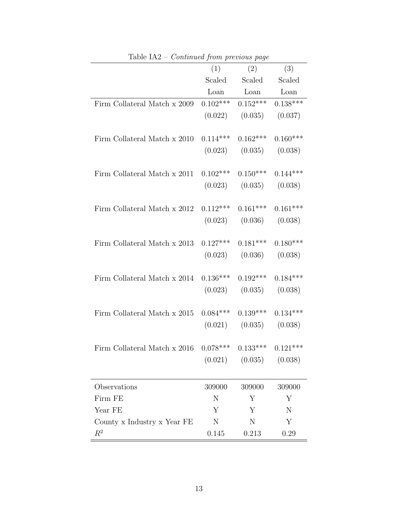|                              | (1)        | (2)                                                                                 | (3)     |
|------------------------------|------------|-------------------------------------------------------------------------------------|---------|
|                              |            | Scaled Scaled Scaled                                                                |         |
|                              |            | $\begin{tabular}{llll} \textbf{Loan} & \textbf{Loan} & \textbf{Loan} \end{tabular}$ |         |
| Firm Collateral Match x 2009 |            | $0.102***$ $0.152***$ $0.138***$                                                    |         |
|                              |            | $(0.022)$ $(0.035)$ $(0.037)$                                                       |         |
|                              |            |                                                                                     |         |
| Firm Collateral Match x 2010 | $0.114***$ | $0.162***$ $0.160***$                                                               |         |
|                              |            | $(0.023)$ $(0.035)$ $(0.038)$                                                       |         |
|                              |            |                                                                                     |         |
| Firm Collateral Match x 2011 |            | $0.102***$ $0.150***$ $0.144***$                                                    |         |
|                              |            | $(0.023)$ $(0.035)$ $(0.038)$                                                       |         |
|                              |            |                                                                                     |         |
| Firm Collateral Match x 2012 | $0.112***$ | $0.161***$ $0.161***$                                                               |         |
|                              |            | $(0.023)$ $(0.036)$ $(0.038)$                                                       |         |
|                              |            |                                                                                     |         |
| Firm Collateral Match x 2013 |            | $0.127***$ $0.181***$ $0.180***$                                                    |         |
|                              |            | $(0.023)$ $(0.036)$ $(0.038)$                                                       |         |
|                              |            |                                                                                     |         |
| Firm Collateral Match x 2014 |            | $0.136***$ $0.192***$ $0.184***$                                                    |         |
|                              |            | $(0.023)$ $(0.035)$ $(0.038)$                                                       |         |
|                              |            |                                                                                     |         |
| Firm Collateral Match x 2015 |            | $0.084***$ $0.139***$ $0.134***$                                                    |         |
|                              |            | $(0.021)$ $(0.035)$ $(0.038)$                                                       |         |
|                              |            |                                                                                     |         |
| Firm Collateral Match x 2016 | $0.078***$ | $0.133***$ $0.121***$                                                               |         |
|                              | (0.021)    | (0.035)                                                                             | (0.038) |
|                              |            |                                                                                     |         |
| Observations                 | 309000     | 309000                                                                              | 309000  |
| Firm FE                      | N          | Y                                                                                   | Y       |
| Year FE                      | Υ          | Υ                                                                                   | N       |
| County x Industry x Year FE  | N          | N                                                                                   | Y       |
| $R^2$                        | 0.145      | 0.213                                                                               | 0.29    |
|                              |            |                                                                                     |         |

Table IA2 – Continued from previous page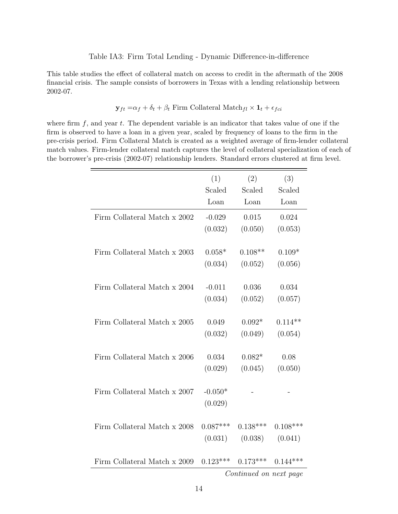This table studies the effect of collateral match on access to credit in the aftermath of the 2008 financial crisis. The sample consists of borrowers in Texas with a lending relationship between 2002-07.

$$
\mathbf{y}_{ft} = \alpha_f + \delta_t + \beta_t
$$
 Firm Collateral Match<sub>fl</sub> ×  $\mathbf{1}_t + \epsilon_{fci}$ 

where firm  $f$ , and year  $t$ . The dependent variable is an indicator that takes value of one if the firm is observed to have a loan in a given year, scaled by frequency of loans to the firm in the pre-crisis period. Firm Collateral Match is created as a weighted average of firm-lender collateral match values. Firm-lender collateral match captures the level of collateral specialization of each of the borrower's pre-crisis (2002-07) relationship lenders. Standard errors clustered at firm level.

|                              | (1)        | (2)                    | (3)        |
|------------------------------|------------|------------------------|------------|
|                              | Scaled     | Scaled                 | Scaled     |
|                              | Loan       | Loan                   | Loan       |
| Firm Collateral Match x 2002 | $-0.029$   | 0.015                  | 0.024      |
|                              | (0.032)    | (0.050)                | (0.053)    |
|                              |            |                        |            |
| Firm Collateral Match x 2003 | $0.058*$   | $0.108**$              | $0.109*$   |
|                              | (0.034)    | (0.052)                | (0.056)    |
|                              |            |                        |            |
| Firm Collateral Match x 2004 | $-0.011$   | 0.036                  | 0.034      |
|                              | (0.034)    | (0.052)                | (0.057)    |
|                              |            |                        |            |
| Firm Collateral Match x 2005 | 0.049      | $0.092*$               | $0.114**$  |
|                              | (0.032)    | (0.049)                | (0.054)    |
|                              |            |                        |            |
| Firm Collateral Match x 2006 | 0.034      | $0.082*$               | 0.08       |
|                              | (0.029)    | (0.045)                | (0.050)    |
| Firm Collateral Match x 2007 | $-0.050*$  |                        |            |
|                              | (0.029)    |                        |            |
|                              |            |                        |            |
| Firm Collateral Match x 2008 | $0.087***$ | $0.138***$             | $0.108***$ |
|                              | (0.031)    | (0.038)                | (0.041)    |
|                              |            |                        |            |
| Firm Collateral Match x 2009 | $0.123***$ | $0.173***$             | $0.144***$ |
|                              |            | Continued on next page |            |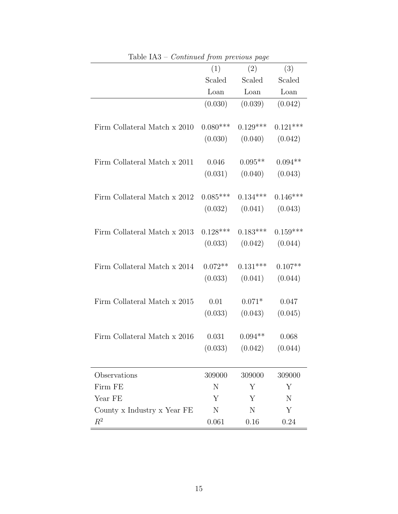|                              | (1)        | (2)                   | (3)                 |
|------------------------------|------------|-----------------------|---------------------|
|                              | Scaled     | Scaled                | Scaled              |
|                              | Loan       | Loan                  | Loan                |
|                              | (0.030)    | (0.039)               | (0.042)             |
|                              |            |                       |                     |
| Firm Collateral Match x 2010 | $0.080***$ | $0.129***$ $0.121***$ |                     |
|                              | (0.030)    |                       | $(0.040)$ $(0.042)$ |
|                              |            |                       |                     |
| Firm Collateral Match x 2011 | 0.046      | $0.095**$             | $0.094**$           |
|                              | (0.031)    |                       | $(0.040)$ $(0.043)$ |
|                              |            |                       |                     |
| Firm Collateral Match x 2012 | $0.085***$ | $0.134***$            | $0.146***$          |
|                              | (0.032)    |                       | $(0.041)$ $(0.043)$ |
|                              |            |                       |                     |
| Firm Collateral Match x 2013 | $0.128***$ | $0.183***$            | $0.159***$          |
|                              | (0.033)    |                       | $(0.042)$ $(0.044)$ |
|                              |            |                       |                     |
| Firm Collateral Match x 2014 | $0.072**$  | $0.131***$            | $0.107**$           |
|                              | (0.033)    |                       | $(0.041)$ $(0.044)$ |
|                              |            |                       |                     |
| Firm Collateral Match x 2015 | 0.01       | $0.071*$              | 0.047               |
|                              | (0.033)    | (0.043)               | (0.045)             |
|                              |            |                       |                     |
| Firm Collateral Match x 2016 | 0.031      | $0.094**$             | 0.068               |
|                              | (0.033)    | (0.042)               | (0.044)             |
|                              |            |                       |                     |
| Observations                 | 309000     | 309000                | 309000              |
| Firm FE                      | N          | Y                     | Y                   |
| Year FE                      | Υ          | Y                     | N                   |
| County x Industry x Year FE  | N          | N                     | Y                   |
| $R^2$                        | 0.061      | 0.16                  | 0.24                |

Table IA3 – Continued from previous page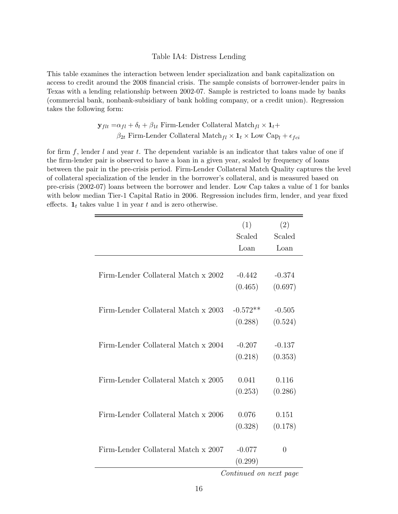#### Table IA4: Distress Lending

This table examines the interaction between lender specialization and bank capitalization on access to credit around the 2008 financial crisis. The sample consists of borrower-lender pairs in Texas with a lending relationship between 2002-07. Sample is restricted to loans made by banks (commercial bank, nonbank-subsidiary of bank holding company, or a credit union). Regression takes the following form:

$$
\mathbf{y}_{flt} = \alpha_{fl} + \delta_t + \beta_{1t}
$$
 Firm-Lender Collateral Match $_{fl} \times \mathbf{1}_t +$  $\beta_{2t}$  Firm-Lender Collateral Match $_{fl} \times \mathbf{1}_t \times$  Low Cap $_l + \epsilon_{fci}$ 

for firm  $f$ , lender  $l$  and year  $t$ . The dependent variable is an indicator that takes value of one if the firm-lender pair is observed to have a loan in a given year, scaled by frequency of loans between the pair in the pre-crisis period. Firm-Lender Collateral Match Quality captures the level of collateral specialization of the lender in the borrower's collateral, and is measured based on pre-crisis (2002-07) loans between the borrower and lender. Low Cap takes a value of 1 for banks with below median Tier-1 Capital Ratio in 2006. Regression includes firm, lender, and year fixed effects.  $\mathbf{1}_t$  takes value 1 in year t and is zero otherwise.

|                                     | (1)                    | (2)            |
|-------------------------------------|------------------------|----------------|
|                                     | Scaled                 | Scaled         |
|                                     | Loan                   | Loan           |
|                                     |                        |                |
| Firm-Lender Collateral Match x 2002 | $-0.442$               | $-0.374$       |
|                                     | (0.465)                | (0.697)        |
|                                     |                        |                |
| Firm-Lender Collateral Match x 2003 | $-0.572**$             | $-0.505$       |
|                                     | (0.288)                | (0.524)        |
|                                     |                        |                |
| Firm-Lender Collateral Match x 2004 | $-0.207$               | $-0.137$       |
|                                     | (0.218)                | (0.353)        |
|                                     |                        |                |
| Firm-Lender Collateral Match x 2005 | 0.041                  | 0.116          |
|                                     | (0.253)                | (0.286)        |
|                                     |                        |                |
| Firm-Lender Collateral Match x 2006 | 0.076                  | 0.151          |
|                                     | (0.328)                | (0.178)        |
|                                     |                        |                |
| Firm-Lender Collateral Match x 2007 | $-0.077$               | $\overline{0}$ |
|                                     | (0.299)                |                |
|                                     | Continued on next page |                |

16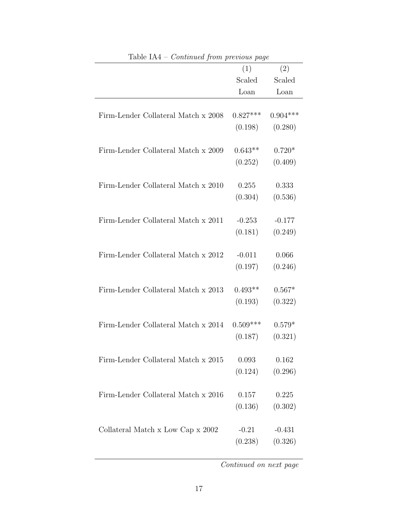| $\mu$ able $\mu$ – Continued from previous page | (1)        | (2)              |
|-------------------------------------------------|------------|------------------|
|                                                 | Scaled     | Scaled           |
|                                                 | Loan       | Loan             |
|                                                 |            |                  |
| Firm-Lender Collateral Match x 2008             | $0.827***$ | $0.904***$       |
|                                                 | (0.198)    | (0.280)          |
|                                                 |            |                  |
| Firm-Lender Collateral Match x 2009             | $0.643**$  | $0.720*$         |
|                                                 | (0.252)    | (0.409)          |
|                                                 |            |                  |
| Firm-Lender Collateral Match x 2010             | 0.255      | 0.333            |
|                                                 | (0.304)    | (0.536)          |
|                                                 |            |                  |
| Firm-Lender Collateral Match x 2011             | $-0.253$   | $-0.177$         |
|                                                 | (0.181)    | (0.249)          |
| Firm-Lender Collateral Match x 2012             | $-0.011$   |                  |
|                                                 | (0.197)    | 0.066<br>(0.246) |
|                                                 |            |                  |
| Firm-Lender Collateral Match x 2013             | $0.493**$  | $0.567*$         |
|                                                 | (0.193)    | (0.322)          |
|                                                 |            |                  |
| Firm-Lender Collateral Match x 2014             | $0.509***$ | $0.579*$         |
|                                                 | (0.187)    | (0.321)          |
|                                                 |            |                  |
| Firm-Lender Collateral Match x 2015             | 0.093      | 0.162            |
|                                                 | (0.124)    | (0.296)          |
|                                                 |            |                  |
| Firm-Lender Collateral Match x 2016             | 0.157      | 0.225            |
|                                                 | (0.136)    | (0.302)          |
|                                                 |            |                  |
| Collateral Match x Low Cap x 2002               | $-0.21$    | $-0.431$         |
|                                                 | (0.238)    | (0.326)          |

Table  $IA4 - Centinued$  from previous page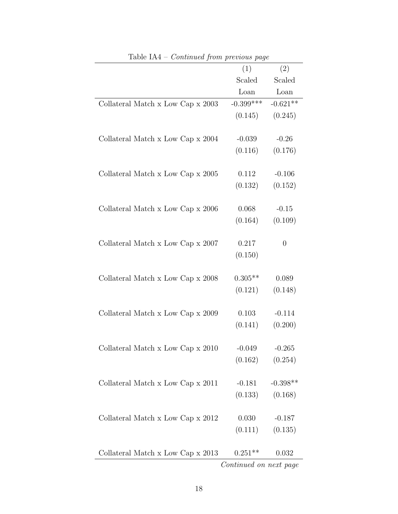| таріс 1714<br>Continued from previous page |                        |                          |
|--------------------------------------------|------------------------|--------------------------|
|                                            | (1)                    | (2)                      |
|                                            | Scaled                 | Scaled                   |
|                                            | Loan                   | $\mathop{\mathrm{Loan}}$ |
| Collateral Match x Low Cap x 2003          | $-0.399***$            | $-0.621**$               |
|                                            | (0.145)                | (0.245)                  |
|                                            |                        |                          |
| Collateral Match x Low Cap x 2004          | $-0.039$               | $-0.26$                  |
|                                            | (0.116)                | (0.176)                  |
|                                            |                        |                          |
| Collateral Match x Low Cap x 2005          | 0.112                  | $-0.106$                 |
|                                            | (0.132)                | (0.152)                  |
|                                            |                        |                          |
| Collateral Match x Low Cap x 2006          | 0.068                  | $-0.15$                  |
|                                            | (0.164)                | (0.109)                  |
|                                            |                        |                          |
| Collateral Match x Low Cap x 2007          | 0.217                  | $\overline{0}$           |
|                                            | (0.150)                |                          |
|                                            |                        |                          |
| Collateral Match x Low Cap x 2008          | $0.305**$              | 0.089                    |
|                                            | (0.121)                | (0.148)                  |
|                                            |                        |                          |
| Collateral Match x Low Cap x 2009          | 0.103                  | $-0.114$                 |
|                                            | (0.141)                | (0.200)                  |
|                                            |                        |                          |
| Collateral Match x Low Cap x 2010          | $-0.049$               | $-0.265$                 |
|                                            | $(0.162)$ $(0.254)$    |                          |
|                                            |                        |                          |
| Collateral Match x Low Cap x 2011          | $-0.181$               | $-0.398**$               |
|                                            |                        | $(0.133)$ $(0.168)$      |
|                                            |                        |                          |
| Collateral Match x Low Cap x 2012          | 0.030                  | $-0.187$                 |
|                                            | (0.111)                | (0.135)                  |
|                                            |                        |                          |
| Collateral Match x Low Cap x 2013          | $0.251**$              | 0.032                    |
|                                            | Continued on next page |                          |

| Table $IA4$ – <i>Continued from previous page</i> |  |  |
|---------------------------------------------------|--|--|
|                                                   |  |  |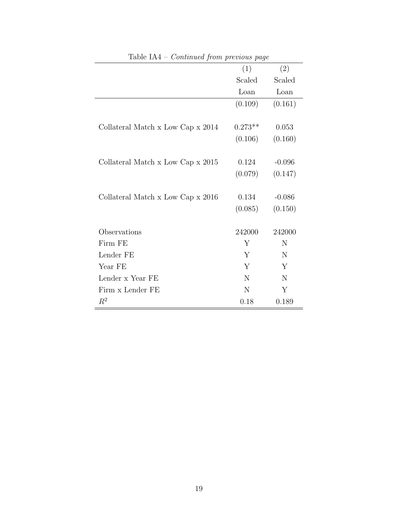| TANIC ITH<br>Continued from previous page |           |             |
|-------------------------------------------|-----------|-------------|
|                                           | (1)       | (2)         |
|                                           | Scaled    | Scaled      |
|                                           | Loan      | Loan        |
|                                           | (0.109)   | (0.161)     |
|                                           |           |             |
| Collateral Match x Low Cap x 2014         | $0.273**$ | 0.053       |
|                                           | (0.106)   | (0.160)     |
|                                           |           |             |
| Collateral Match x Low Cap x 2015         | 0.124     | $-0.096$    |
|                                           | (0.079)   | (0.147)     |
|                                           |           |             |
| Collateral Match x Low Cap x 2016         | 0.134     | $-0.086$    |
|                                           | (0.085)   | (0.150)     |
|                                           |           |             |
| Observations                              | 242000    | 242000      |
| Firm FE                                   | Y         | N           |
| Lender FE                                 | Y         | $\mathbf N$ |
| Year FE                                   | Y         | Y           |
| Lender x Year FE                          | N         | N           |
| Firm x Lender FE                          | N         | Y           |
| $R^2$                                     | 0.18      | 0.189       |

Table IA4 – Continued from previous page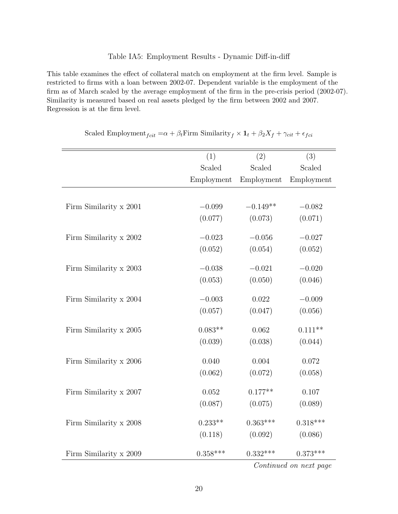#### Table IA5: Employment Results - Dynamic Diff-in-diff

This table examines the effect of collateral match on employment at the firm level. Sample is restricted to firms with a loan between 2002-07. Dependent variable is the employment of the firm as of March scaled by the average employment of the firm in the pre-crisis period (2002-07). Similarity is measured based on real assets pledged by the firm between 2002 and 2007. Regression is at the firm level.

|                        | (1)        | (2)        | (3)        |
|------------------------|------------|------------|------------|
|                        | Scaled     | Scaled     | Scaled     |
|                        | Employment | Employment | Employment |
|                        |            |            |            |
| Firm Similarity x 2001 | $-0.099$   | $-0.149**$ | $-0.082$   |
|                        | (0.077)    | (0.073)    | (0.071)    |
| Firm Similarity x 2002 | $-0.023$   | $-0.056$   | $-0.027$   |
|                        | (0.052)    | (0.054)    | (0.052)    |
|                        |            |            |            |
| Firm Similarity x 2003 | $-0.038$   | $-0.021$   | $-0.020$   |
|                        | (0.053)    | (0.050)    | (0.046)    |
| Firm Similarity x 2004 | $-0.003$   | 0.022      | $-0.009$   |
|                        | (0.057)    | (0.047)    | (0.056)    |
| Firm Similarity x 2005 | $0.083**$  | 0.062      | $0.111**$  |
|                        | (0.039)    | (0.038)    | (0.044)    |
| Firm Similarity x 2006 | 0.040      | 0.004      | 0.072      |
|                        | (0.062)    | (0.072)    | (0.058)    |
| Firm Similarity x 2007 | 0.052      | $0.177**$  | 0.107      |
|                        | (0.087)    | (0.075)    | (0.089)    |
| Firm Similarity x 2008 | $0.233**$  | $0.363***$ | $0.318***$ |
|                        | (0.118)    | (0.092)    | (0.086)    |
| Firm Similarity x 2009 | $0.358***$ | $0.332***$ | $0.373***$ |

| Scaled Employment <sub>fcit</sub> = $\alpha + \beta_t$ Firm Similarity <sub>f</sub> $\times$ 1 <sub>t</sub> + $\beta_2 X_f + \gamma_{cit} + \epsilon_{fci}$ |  |  |
|-------------------------------------------------------------------------------------------------------------------------------------------------------------|--|--|
|-------------------------------------------------------------------------------------------------------------------------------------------------------------|--|--|